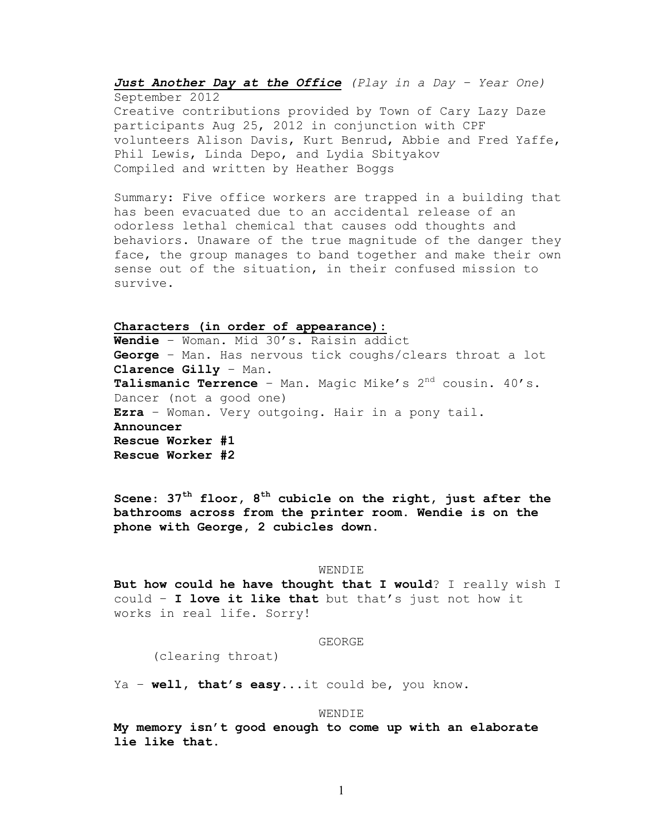*Just Another Day at the Office (Play in a Day – Year One)* September 2012 Creative contributions provided by Town of Cary Lazy Daze participants Aug 25, 2012 in conjunction with CPF volunteers Alison Davis, Kurt Benrud, Abbie and Fred Yaffe, Phil Lewis, Linda Depo, and Lydia Sbityakov Compiled and written by Heather Boggs

Summary: Five office workers are trapped in a building that has been evacuated due to an accidental release of an odorless lethal chemical that causes odd thoughts and behaviors. Unaware of the true magnitude of the danger they face, the group manages to band together and make their own sense out of the situation, in their confused mission to survive.

# **Characters (in order of appearance):**

**Wendie** – Woman. Mid 30's. Raisin addict **George** – Man. Has nervous tick coughs/clears throat a lot **Clarence Gilly** – Man. **Talismanic Terrence** – Man. Magic Mike's 2nd cousin. 40's. Dancer (not a good one) **Ezra** – Woman. Very outgoing. Hair in a pony tail. **Announcer Rescue Worker #1 Rescue Worker #2**

**Scene**: **37th floor, 8th cubicle on the right, just after the bathrooms across from the printer room. Wendie is on the phone with George, 2 cubicles down.**

#### WENDIE

**But how could he have thought that I would**? I really wish I could – **I love it like that** but that's just not how it works in real life. Sorry!

## GEORGE

(clearing throat)

Ya – **well, that's easy**...it could be, you know.

### WENDIE

**My memory isn't good enough to come up with an elaborate lie like that.**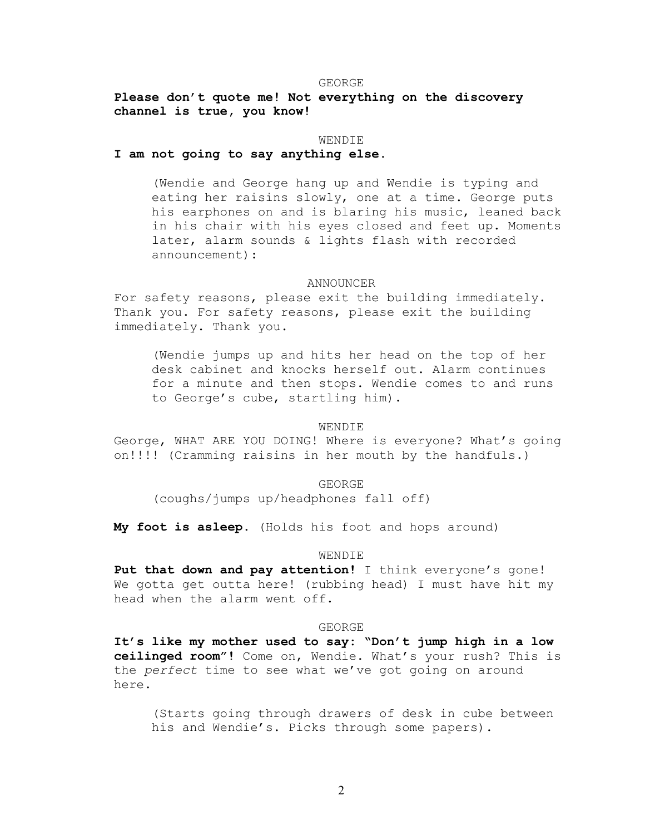### GEORGE

**Please don't quote me! Not everything on the discovery channel is true, you know!**

## WENDIE

## **I am not going to say anything else.**

(Wendie and George hang up and Wendie is typing and eating her raisins slowly, one at a time. George puts his earphones on and is blaring his music, leaned back in his chair with his eyes closed and feet up. Moments later, alarm sounds & lights flash with recorded announcement):

### ANNOUNCER

For safety reasons, please exit the building immediately. Thank you. For safety reasons, please exit the building immediately. Thank you.

(Wendie jumps up and hits her head on the top of her desk cabinet and knocks herself out. Alarm continues for a minute and then stops. Wendie comes to and runs to George's cube, startling him).

## WENDIE

George, WHAT ARE YOU DOING! Where is everyone? What's going on!!!! (Cramming raisins in her mouth by the handfuls.)

GEORGE

(coughs/jumps up/headphones fall off)

**My foot is asleep.** (Holds his foot and hops around)

### WENDIE

**Put that down and pay attention!** I think everyone's gone! We gotta get outta here! (rubbing head) I must have hit my head when the alarm went off.

### GEORGE

**It's like my mother used to say: "Don't jump high in a low ceilinged room"!** Come on, Wendie. What's your rush? This is the *perfect* time to see what we've got going on around here.

(Starts going through drawers of desk in cube between his and Wendie's. Picks through some papers).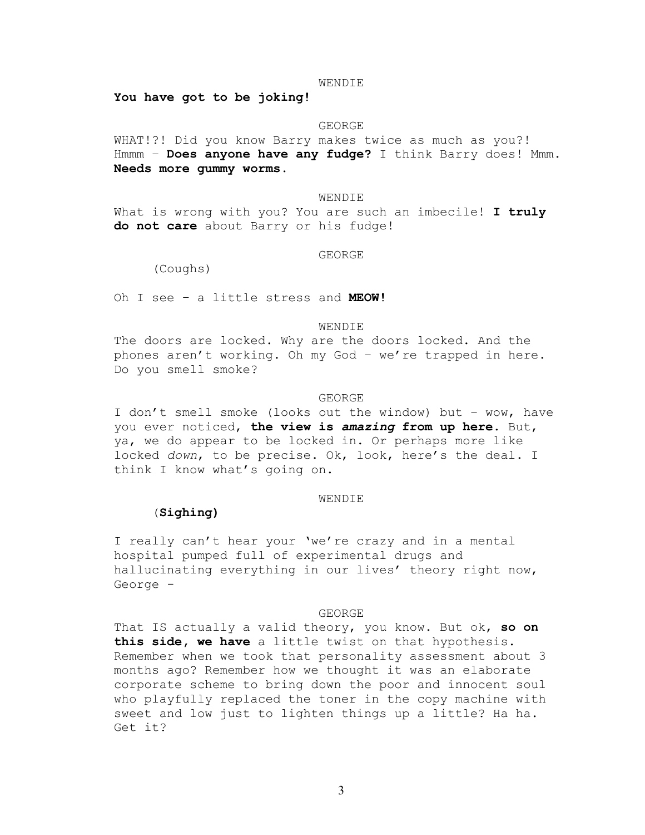#### WENDIE

**You have got to be joking!** 

### GEORGE

WHAT!?! Did you know Barry makes twice as much as you?! Hmmm – **Does anyone have any fudge?** I think Barry does! Mmm. **Needs more gummy worms.**

## WENDIE

What is wrong with you? You are such an imbecile! **I truly do not care** about Barry or his fudge!

## GEORGE

(Coughs)

Oh I see – a little stress and **MEOW!**

## WENDIE

The doors are locked. Why are the doors locked. And the phones aren't working. Oh my God – we're trapped in here. Do you smell smoke?

### GEORGE

I don't smell smoke (looks out the window) but – wow, have you ever noticed, **the view is** *amazing* **from up here**. But, ya, we do appear to be locked in. Or perhaps more like locked *down*, to be precise. Ok, look, here's the deal. I think I know what's going on.

## WENDIE

## (**Sighing)**

I really can't hear your 'we're crazy and in a mental hospital pumped full of experimental drugs and hallucinating everything in our lives' theory right now, George -

#### GEORGE

That IS actually a valid theory, you know. But ok, **so on this side, we have** a little twist on that hypothesis. Remember when we took that personality assessment about 3 months ago? Remember how we thought it was an elaborate corporate scheme to bring down the poor and innocent soul who playfully replaced the toner in the copy machine with sweet and low just to lighten things up a little? Ha ha. Get it?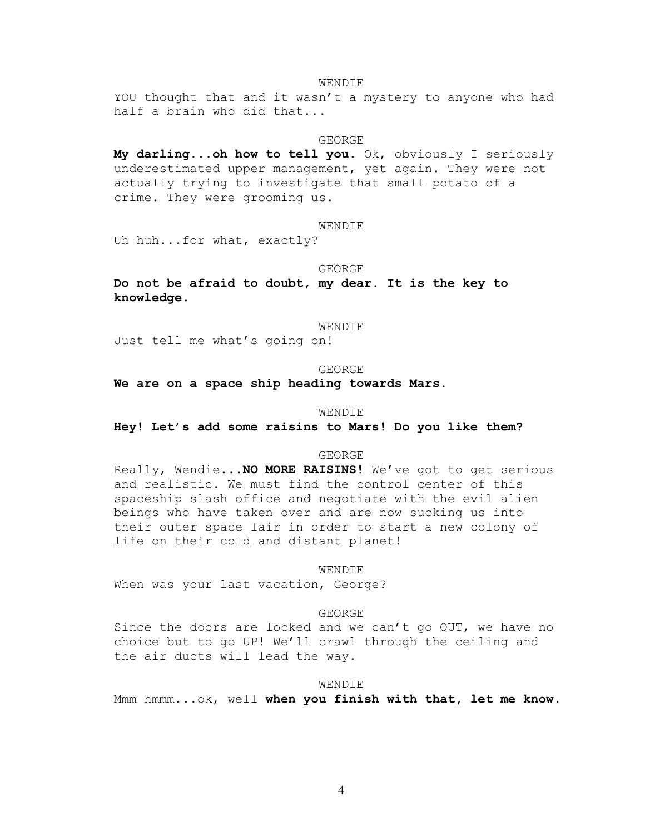## WENDIE

YOU thought that and it wasn't a mystery to anyone who had half a brain who did that...

## GEORGE

**My darling...oh how to tell you**. Ok, obviously I seriously underestimated upper management, yet again. They were not actually trying to investigate that small potato of a crime. They were grooming us.

## WENDIE

Uh huh...for what, exactly?

#### GEORGE

**Do not be afraid to doubt, my dear. It is the key to knowledge.**

#### WENDIE

Just tell me what's going on!

### GEORGE

**We are on a space ship heading towards Mars.**

## WENDIE

**Hey! Let's add some raisins to Mars! Do you like them?**

#### GEORGE

Really, Wendie...**NO MORE RAISINS!** We've got to get serious and realistic. We must find the control center of this spaceship slash office and negotiate with the evil alien beings who have taken over and are now sucking us into their outer space lair in order to start a new colony of life on their cold and distant planet!

#### WENDIE

When was your last vacation, George?

## GEORGE

Since the doors are locked and we can't go OUT, we have no choice but to go UP! We'll crawl through the ceiling and the air ducts will lead the way.

#### WENDIE

Mmm hmmm...ok, well **when you finish with that, let me know.**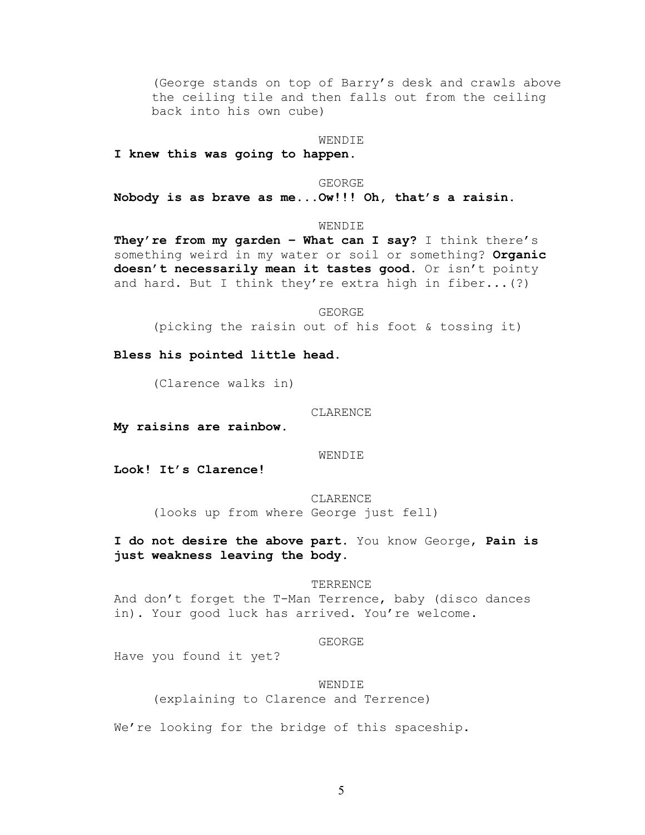(George stands on top of Barry's desk and crawls above the ceiling tile and then falls out from the ceiling back into his own cube)

## WENDIE

**I knew this was going to happen.**

#### GEORGE

**Nobody is as brave as me...Ow!!! Oh, that's a raisin.**

## WENDIE

**They're from my garden – What can I say?** I think there's something weird in my water or soil or something? **Organic doesn't necessarily mean it tastes good.** Or isn't pointy and hard. But I think they're extra high in fiber...(?)

GEORGE

(picking the raisin out of his foot & tossing it)

**Bless his pointed little head.**

(Clarence walks in)

## CLARENCE

**My raisins are rainbow.**

WENDIE

**Look! It's Clarence!**

CLARENCE (looks up from where George just fell)

**I do not desire the above part.** You know George, **Pain is just weakness leaving the body.**

## TERRENCE

And don't forget the T-Man Terrence, baby (disco dances in). Your good luck has arrived. You're welcome.

## GEORGE

Have you found it yet?

## WENDIE

(explaining to Clarence and Terrence)

We're looking for the bridge of this spaceship.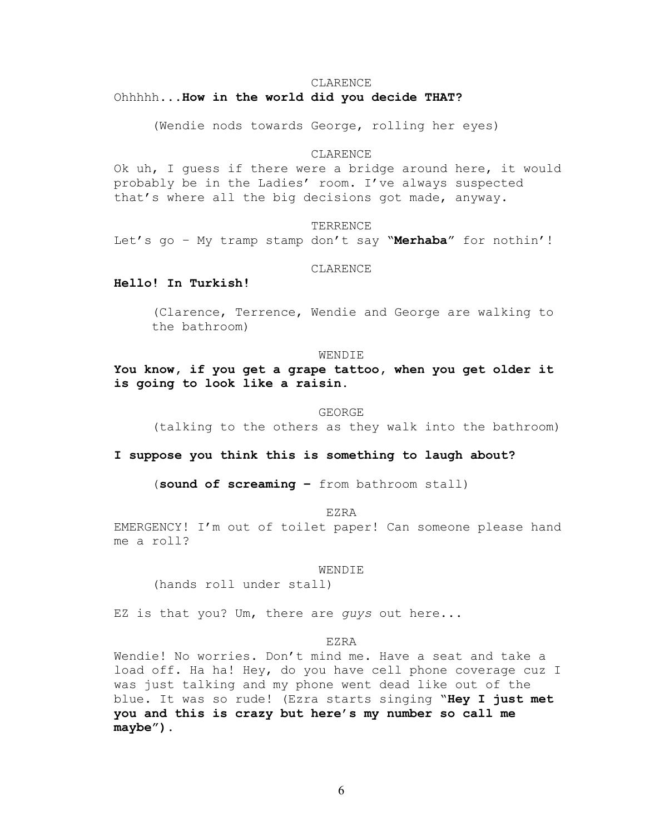## Ohhhhh...**How in the world did you decide THAT?**

(Wendie nods towards George, rolling her eyes)

### CLARENCE

Ok uh, I guess if there were a bridge around here, it would probably be in the Ladies' room. I've always suspected that's where all the big decisions got made, anyway.

## TERRENCE

Let's go – My tramp stamp don't say "**Merhaba**" for nothin'!

**CLARENCE** 

# **Hello! In Turkish!**

(Clarence, Terrence, Wendie and George are walking to the bathroom)

## WENDIE

**You know, if you get a grape tattoo, when you get older it is going to look like a raisin.**

### GEORGE

(talking to the others as they walk into the bathroom)

**I suppose you think this is something to laugh about?**

(**sound of screaming –** from bathroom stall)

EZRA

EMERGENCY! I'm out of toilet paper! Can someone please hand me a roll?

WENDIE

(hands roll under stall)

EZ is that you? Um, there are *guys* out here...

## EZRA

Wendie! No worries. Don't mind me. Have a seat and take a load off. Ha ha! Hey, do you have cell phone coverage cuz I was just talking and my phone went dead like out of the blue. It was so rude! (Ezra starts singing "**Hey I just met you and this is crazy but here's my number so call me maybe").**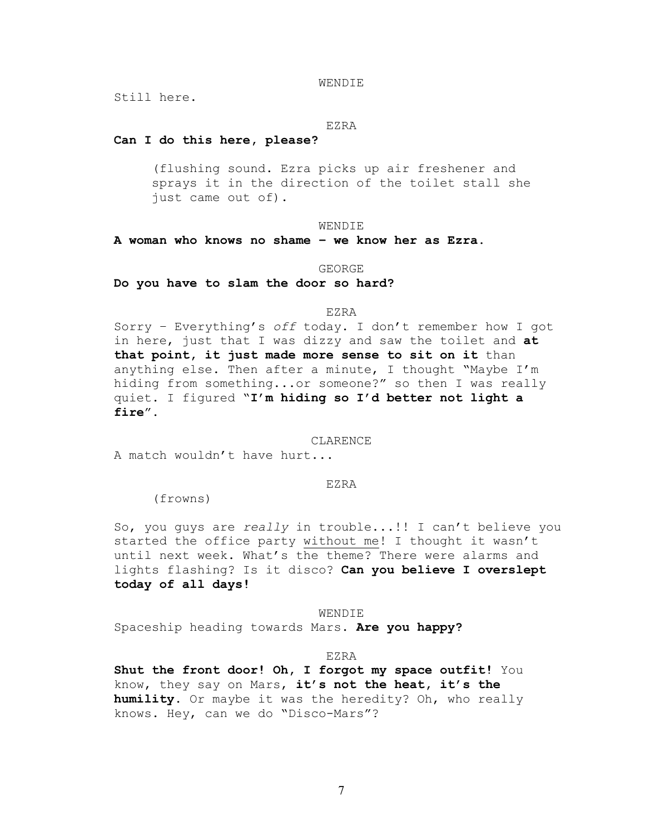WENDIE

Still here.

## EZRA

# **Can I do this here, please?**

(flushing sound. Ezra picks up air freshener and sprays it in the direction of the toilet stall she just came out of).

## WENDIE

**A woman who knows no shame – we know her as Ezra**.

### GEORGE

**Do you have to slam the door so hard?**

### EZRA

Sorry – Everything's *off* today. I don't remember how I got in here, just that I was dizzy and saw the toilet and **at that point, it just made more sense to sit on it** than anything else. Then after a minute, I thought "Maybe I'm hiding from something...or someone?" so then I was really quiet. I figured "**I'm hiding so I'd better not light a fire**".

### CLARENCE.

A match wouldn't have hurt...

### EZRA

(frowns)

So, you guys are *really* in trouble...!! I can't believe you started the office party without me! I thought it wasn't until next week. What's the theme? There were alarms and lights flashing? Is it disco? **Can you believe I overslept today of all days!**

WENDIE Spaceship heading towards Mars. **Are you happy?**

## EZRA

**Shut the front door! Oh, I forgot my space outfit!** You know, they say on Mars, **it's not the heat, it's the humility**. Or maybe it was the heredity? Oh, who really knows. Hey, can we do "Disco-Mars"?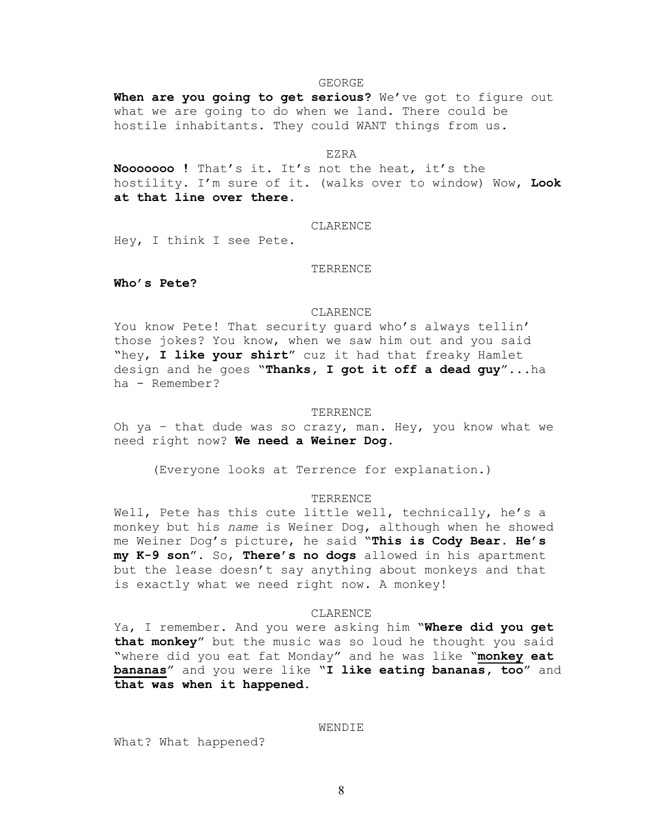### GEORGE

**When are you going to get serious?** We've got to figure out what we are going to do when we land. There could be hostile inhabitants. They could WANT things from us.

#### EZRA

**Nooooooo !** That's it. It's not the heat, it's the hostility. I'm sure of it. (walks over to window) Wow, **Look at that line over there.**

## CLARENCE

Hey, I think I see Pete.

## TERRENCE

**Who's Pete?**

## CLARENCE

You know Pete! That security guard who's always tellin' those jokes? You know, when we saw him out and you said "hey, **I like your shirt**" cuz it had that freaky Hamlet design and he goes "**Thanks, I got it off a dead guy**"...ha ha - Remember?

### TERRENCE

Oh ya – that dude was so crazy, man. Hey, you know what we need right now? **We need a Weiner Dog.**

(Everyone looks at Terrence for explanation.)

## TERRENCE

Well, Pete has this cute little well, technically, he's a monkey but his *name* is Weiner Dog, although when he showed me Weiner Dog's picture, he said "**This is Cody Bear. He's my K-9 son**". So, **There's no dogs** allowed in his apartment but the lease doesn't say anything about monkeys and that is exactly what we need right now. A monkey!

## CLARENCE

Ya, I remember. And you were asking him "**Where did you get that monkey**" but the music was so loud he thought you said "where did you eat fat Monday" and he was like "**monkey eat bananas**" and you were like "**I like eating bananas, too**" and **that was when it happened**.

## **WENDIE**

What? What happened?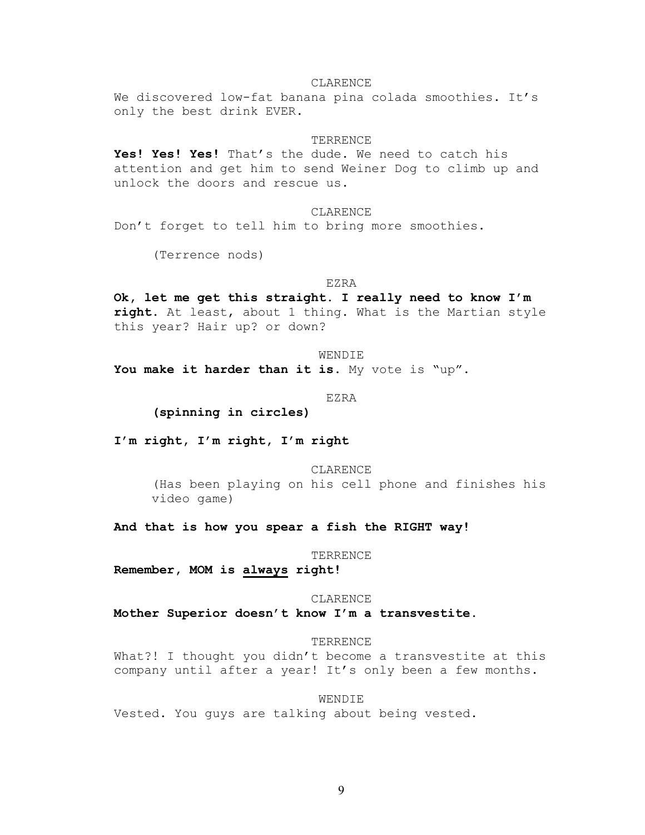We discovered low-fat banana pina colada smoothies. It's only the best drink EVER.

## TERRENCE

**Yes! Yes! Yes!** That's the dude. We need to catch his attention and get him to send Weiner Dog to climb up and unlock the doors and rescue us.

## CLARENCE

Don't forget to tell him to bring more smoothies.

(Terrence nods)

### EZRA

**Ok, let me get this straight. I really need to know I'm right**. At least, about 1 thing. What is the Martian style this year? Hair up? or down?

WENDIE

**You make it harder than it is**. My vote is "up".

EZRA

**(spinning in circles)**

**I'm right, I'm right, I'm right**

CLARENCE

(Has been playing on his cell phone and finishes his video game)

**And that is how you spear a fish the RIGHT way!**

## TERRENCE

**Remember, MOM is always right!**

### CLARENCE

**Mother Superior doesn't know I'm a transvestite.**

## TERRENCE

What?! I thought you didn't become a transvestite at this company until after a year! It's only been a few months.

## WENDIE

Vested. You guys are talking about being vested.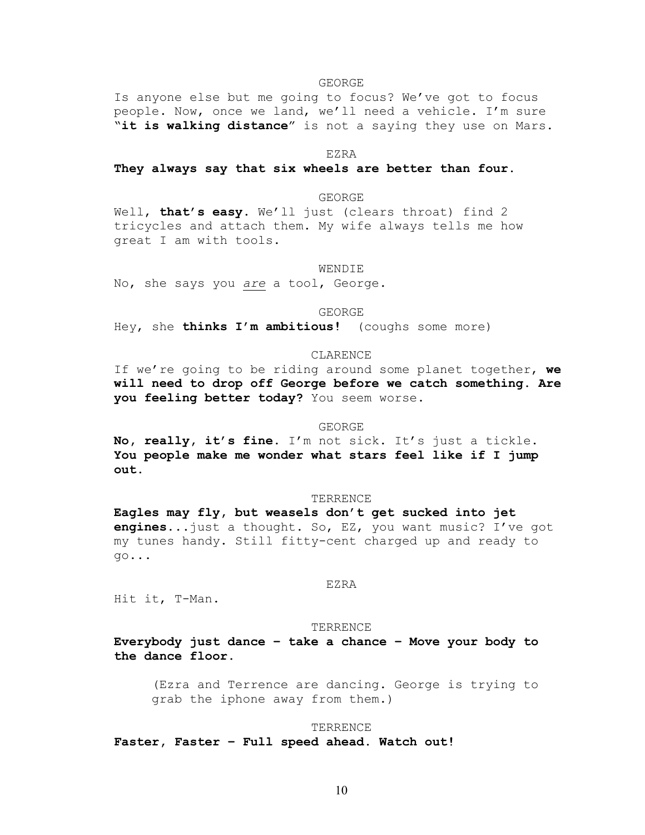GEORGE

Is anyone else but me going to focus? We've got to focus people. Now, once we land, we'll need a vehicle. I'm sure "**it is walking distance**" is not a saying they use on Mars.

EZRA

## **They always say that six wheels are better than four.**

## GEORGE

Well, **that's easy**. We'll just (clears throat) find 2 tricycles and attach them. My wife always tells me how great I am with tools.

#### WENDIE

No, she says you *are* a tool, George.

GEORGE

Hey, she **thinks I'm ambitious!** (coughs some more)

## CLARENCE

If we're going to be riding around some planet together, **we will need to drop off George before we catch something. Are you feeling better today?** You seem worse.

#### GEORGE

**No, really, it's fine**. I'm not sick. It's just a tickle. **You people make me wonder what stars feel like if I jump out.**

## TERRENCE

**Eagles may fly, but weasels don't get sucked into jet engines**...just a thought. So, EZ, you want music? I've got my tunes handy. Still fitty-cent charged up and ready to go...

## EZRA

Hit it, T-Man.

#### TERRENCE

**Everybody just dance – take a chance – Move your body to the dance floor.**

(Ezra and Terrence are dancing. George is trying to grab the iphone away from them.)

#### **TERRENCE**

**Faster, Faster – Full speed ahead. Watch out!**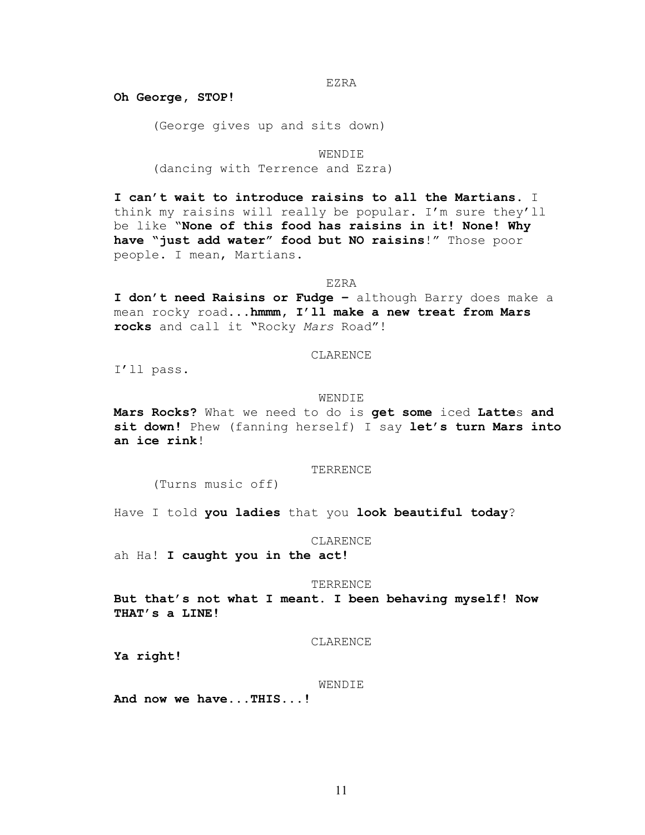EZRA

**Oh George, STOP!**

(George gives up and sits down)

WENDIE

(dancing with Terrence and Ezra)

**I can't wait to introduce raisins to all the Martians**. I think my raisins will really be popular. I'm sure they'll be like "**None of this food has raisins in it! None! Why have "just add water" food but NO raisins**!" Those poor people. I mean, Martians.

## EZRA

**I don't need Raisins or Fudge –** although Barry does make a mean rocky road**...hmmm, I'll make a new treat from Mars rocks** and call it **"**Rocky *Mars* Road"!

## CLARENCE

I'll pass.

### WENDIE

**Mars Rocks?** What we need to do is **get some** iced **Latte**s **and sit down!** Phew (fanning herself) I say **let's turn Mars into an ice rink**!

### TERRENCE

(Turns music off)

Have I told **you ladies** that you **look beautiful today**?

## CLARENCE

ah Ha! **I caught you in the act!**

### TERRENCE

**But that's not what I meant. I been behaving myself! Now THAT's a LINE!**

## CLARENCE

**Ya right!**

## WENDIE

**And now we have...THIS...!**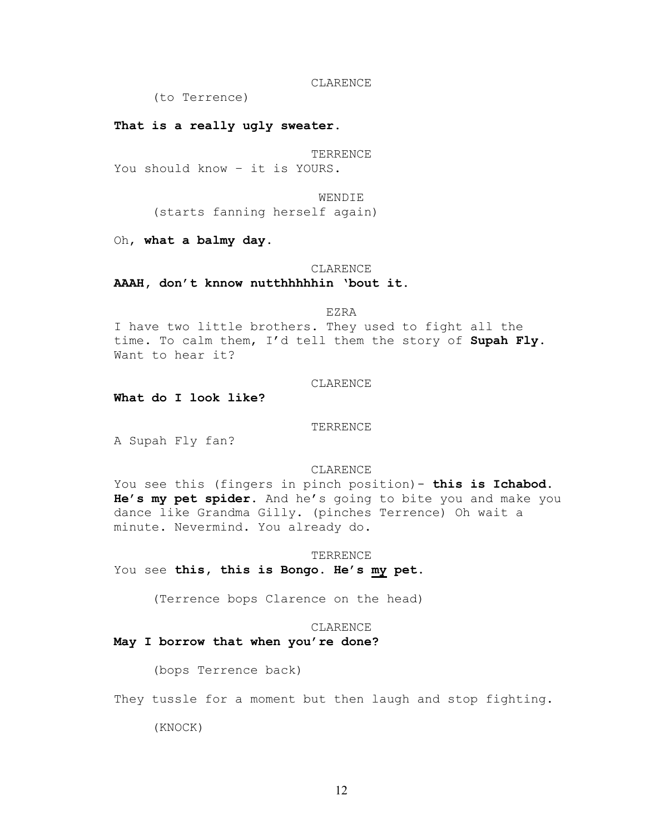(to Terrence)

**That is a really ugly sweater.**

TERRENCE You should know – it is YOURS.

> WENDIE (starts fanning herself again)

Oh, **what a balmy day.**

### CLARENCE

**AAAH, don't knnow nutthhhhhin 'bout it.**

EZRA

I have two little brothers. They used to fight all the time. To calm them, I'd tell them the story of **Supah Fly**. Want to hear it?

# CLARENCE

**What do I look like?**

**TERRENCE** 

A Supah Fly fan?

CLARENCE

You see this (fingers in pinch position)- **this is Ichabod. He's my pet spider.** And he's going to bite you and make you dance like Grandma Gilly. (pinches Terrence) Oh wait a minute. Nevermind. You already do.

TERRENCE

You see **this, this is Bongo. He's my pet**.

(Terrence bops Clarence on the head)

# CLARENCE

**May I borrow that when you're done?**

(bops Terrence back)

They tussle for a moment but then laugh and stop fighting.

(KNOCK)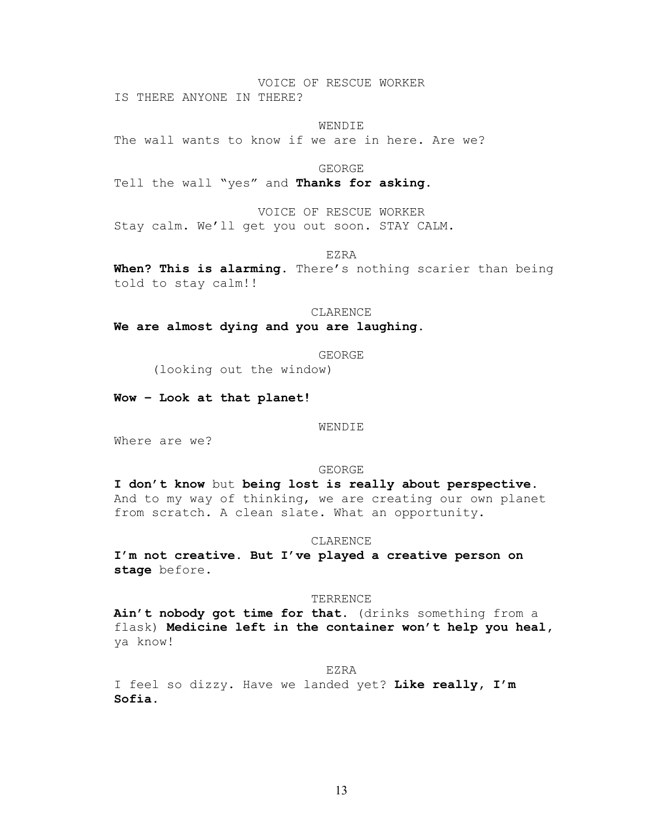## VOICE OF RESCUE WORKER

IS THERE ANYONE IN THERE?

**WENDIE** 

The wall wants to know if we are in here. Are we?

GEORGE

Tell the wall "yes" and **Thanks for asking.**

VOICE OF RESCUE WORKER Stay calm. We'll get you out soon. STAY CALM.

EZRA

**When? This is alarming.** There's nothing scarier than being told to stay calm!!

CLARENCE

**We are almost dying and you are laughing.**

GEORGE

(looking out the window)

**Wow – Look at that planet!**

WENDIE

Where are we?

GEORGE

**I don't know** but **being lost is really about perspective.**  And to my way of thinking, we are creating our own planet from scratch. A clean slate. What an opportunity.

### CLARENCE

**I'm not creative. But I've played a creative person on stage** before**.**

### TERRENCE

**Ain't nobody got time for that.** (drinks something from a flask) **Medicine left in the container won't help you heal,**  ya know!

EZRA

I feel so dizzy. Have we landed yet? **Like really, I'm Sofia.**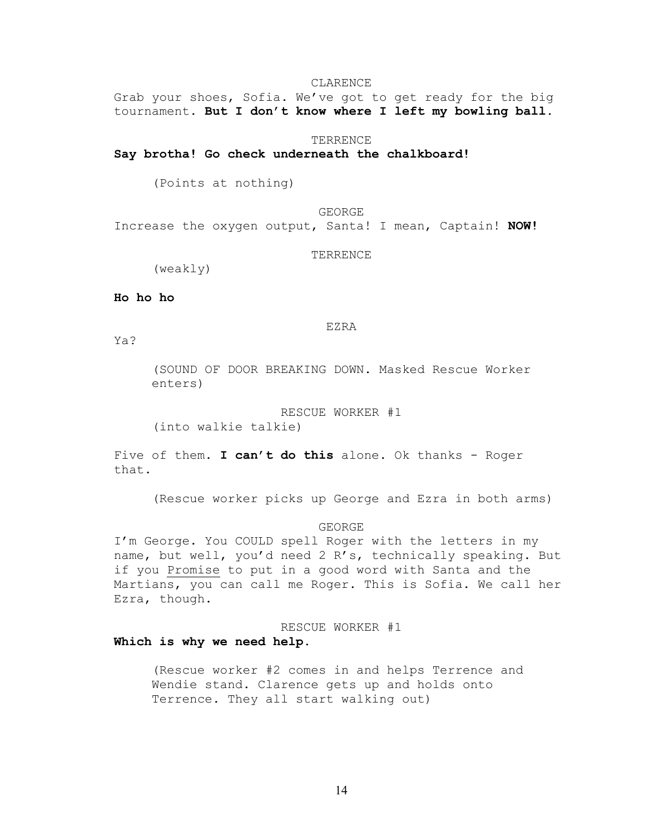Grab your shoes, Sofia. We've got to get ready for the big tournament. **But I don't know where I left my bowling ball**.

## **TERRENCE**

## **Say brotha! Go check underneath the chalkboard!**

(Points at nothing)

GEORGE Increase the oxygen output, Santa! I mean, Captain! **NOW!**

## TERRENCE

(weakly)

**Ho ho ho**

EZRA

Ya?

(SOUND OF DOOR BREAKING DOWN. Masked Rescue Worker enters)

RESCUE WORKER #1 (into walkie talkie)

Five of them. **I can't do this** alone. Ok thanks - Roger that.

(Rescue worker picks up George and Ezra in both arms)

## GEORGE

I'm George. You COULD spell Roger with the letters in my name, but well, you'd need 2 R's, technically speaking. But if you Promise to put in a good word with Santa and the Martians, you can call me Roger. This is Sofia. We call her Ezra, though.

# RESCUE WORKER #1

## **Which is why we need help.**

(Rescue worker #2 comes in and helps Terrence and Wendie stand. Clarence gets up and holds onto Terrence. They all start walking out)